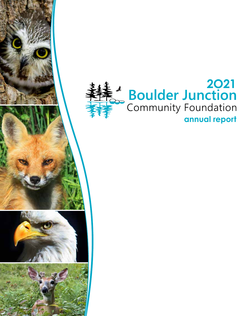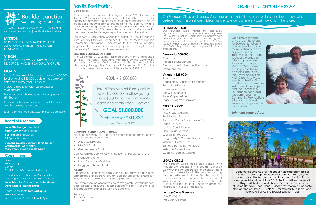

## $\int_{\infty}^{A}$  Boulder Junction Community Foundation

## SHAPING OUR COMMUNITY FOREVER

Our Founders Circle and Legacy Circle donors are individuals, organizations, and foundations who believe in our mission, share its ideals, and ensure our community work now and in the future.

#### **FOUNDERS CIRCLE**

Our Founders Circle honors the individuals, organizations, and foundations that have supported the Boulder Junction Community Foundation with cumulative gifts of \$10,000 or more, starting with donations received since our inception on October 10, 2010. When a donor reaches (or pledges) a sum of \$10,000, they will be listed in perpetuity in our publications.

#### **Benefactor \$50,000+**

Anonymous Robert & Diane Jenkins Friends of the Boulder Junction Library Dairymen's Inc.

#### **Visionary \$25,000+**

Anonymous Hoag Family Charitable Foundation Bob & Judy Klauer LUMW Foundation Ron & Judy Nordlof Janet Oppenheimer Mary & Greg Van Grinsven

#### **Patron \$10,000+**

Anonymous Tom & Sally Basting Sr. Boulder Junction Lions Jonathan Dobbs & Jacqueline Pruitt Milton Henrichs Linda & Donald Jenner Dan & Leslie Johnson Lela Christine Calder Lang Family & Woods of Boulder Junction Richard & Carol Phillips James & Bonnie Schwartzburg William & Bonnie Spear Quentin & Dorothy Willems

#### **LEGACY CIRCLE**

The Legacy Circle celebrates donors who thoughtfully designate the Boulder Junction Community Foundation Restricted Endowment Fund as a beneficiary in their estate planning for the betterment of the Boulder Junction community. We recommend that you contact your financial advisor to discuss the benefits of including the Boulder Junction Community Foundation in your estate plans.

#### **Legacy Circle Members**

Tom Basting Sr. Mary Van Grinsven



### **MISSION**

**John Altschwager,** President **Susan Govier,** Vice President **Beth Rondello, Secretary Bill Spear, Treasurer** 

TO PRESERVE AND ENHANCE BOULDER JUNCTION FOR PRESENT AND FUTURE GENERATIONS.

### **VISION**

TO STRENGTHEN COMMUNITY, DEVELOP RESOURCES, AND ENRICH QUALITY OF LIFE.

## **GOALS**

Target Endowment Fund goal to raise \$1,000,000 to allow giving \$50,000 back to the community each and every year….Forever.

Increase public awareness and build relationships.

Foster community endeavors through grant distributions.

Provide professional stewardship of financial and leadership resources.

BJCF is a 501(c)(3) federal tax exempt public organization

## From the Board President

#### Dear Friends,

**Finance** Fundraising **Grants** Publicity and Community Relations

Board Consultants: **Tom Basting, Sr., Mark Hilgendorf** Administrative Assistant: Bonnie Spear Metal Donn Allschwager, Schwarzen Metal Metal Metal Metal Metal Metal Metal Metal Metal Metal Metal Metal Metal Metal Metal Metal Metal Metal Metal Metal Metal Metal Metal Metal Metal

Because of your commitment and generosity, in 2021, the Boulder Junction Community Foundation was able to continue to help our community navigate the effects of the ongoing pandemic. We've learned a lot about resilience and passion of our community, and the tremendous good work imparted on residents and visitors of Boulder Junction. We celebrate our donors and community members, as we finally begin to put the pandemic behind us.

This report is information about the activity of the Foundation from January 1 through December 31, 2021. The Boulder Junction Community Foundation is committed to the work of bringing together donors and community projects to strengthen our community for present and future generations.

#### **RESTRICTED ENDOWMENT FUND**

As of December 31, 2021, the Restricted Endowment Fund reached \$611,880. The Fund is held and managed by the Community Foundation of North Central Wisconsin. Grants are available bi-annually through this fund. As of December 31, 2021, the Foundation is over halfway to the lofty goal of \$1,000,000!

P.O. Box 675 | Boulder Junction, WI 54512 | 715-892-4898 www.boulderjunctioncf.org | info@boulderjunctioncf.org

### **Board of Directors**

**Barbara Douglas-Johnson, Janie Geiger, Craig Mason, Gary Plouff, Mary Van Grinsven, Nicole Wilkin**

### **Committees**

Target Endowment Fund goal to raise \$1,000,000 to allow giving back \$50,000 to the community each and every year….Forever.

# **GOAL \$1,000,000**

## raised so far \$611,880

as of December 31, 2021



#### **COMMUNITY ENHANCEMENT FUNDS**

We offer a variety of Community Enhancement Funds for the specific interests of our donors:

- Arts & Culture Fund
- **Bike Trail Fund**
- Greatest Needs Fund

Contracted Fiduciary Funds with the Town of Boulder Junction:

- Broadband Fund
- North Creek Loop Trail Fund
- Playground Project Fund

#### **GRANTS**

The Board of Directors decides which of the above funds is most appropriate after approval of Grant applications. Since its inception in 2010, the Foundation has awarded \$568,256 in grants.

Thank you once more for all you do! We're grateful for your support, past, present and future. Please contact me at 715-892-4898 or info@boulderjunctioncf.org with any questions.

Sincerely, John Altschwager, President



In addition to the Board of Directors, the following volunteers serve on committees: **John Ader, Sue Fehlandt, Michelle Mauzer, Dave Osborn, Theresa Smith**

Excitement is building over the eagerly anticipated Phase I of the North Creek Loop Trail. Generous donation from you, our donors, has led to the town putting Phase I out for bid with an anticipated start date of June 2022. The trail will be completed from Hwys. H&K half way up to North Creek Road (the entrance of Camp Holiday). Once Phase I is underway, the town is eager to start working on Phase II. THANK YOU for making this a reality and helping enhance the Boulder Junction Trails!

We all have dreams or visions of the future for Boulder Junction. It is wonderful to watch many of those dreams happen. As one improvement happens, seeds are planted for future improvements. Joanne and I enjoy the Mural on Main Street, participate in the Music on Main Street, enjoy the Flower baskets on Main Street and watch events at the Earl Sturm baseball park. These are just some of the projects that the Community Foundation has aided. We commend the Community Foundations efforts to continually review and improve the Foundation.



*John and Joanne Ader*

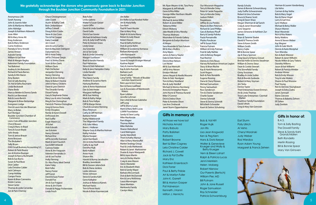Anonymous (29) Sarah Aavang John & Joanne Ader John & Marilynne Albrecht John Aldridge Joseph & Kathleen Aldworth Josie Allen Bill & Mary Anne Alt Kreg Anderson Bob & Mary Anderson Carne Andrews Pamela & Terry Arnold James Arnost Aukstik Family William & Gail Baar Matt & Margee Bagley Balestrieri Family Foundation Ted Balistreri Audrey & Jim Banovetz Richard & Paula Barnes Sandy & Win Baron Amy Basken Tom & Sally Basting Dr. Hal & Kathy Baumann Linda Beckstedt Diane Beda Marcus Belden & Donna Sands Rod & Lori Benstead Bob & Laura Bertch Margaret & Brian Betteridge Evergreen Lodge Don & Laura Van der Bloeman Mary Jo Bolan Kurt Bonigut Boulder Junction Chamber of **Commerce** Lions Club of Boulder Junction Cheryl Bowen Craig & Mary Jo Boyd Terry & Susan Boyle John Brady Tom & Janice Brauer Anne Brouwer The Brubaker's **Sally Bryan** EWH Small Business Accounting S.C. Robert & Pattii Buenz Jon & Kristine Buerger Joseph & Nancy Burkhardt Bob & Sue Burns Susan & Paul Buse Dick Calder Lela Christine Calder Jack Calmeyn Camp Holiday Campo Fiesta Karen & Brian Cannestra Kristin Carnes Steve Carter Thomas & Leslie Cervenka Jon & Pam Cherney

Chase Christopherson Julie Ciszek Austin & Kathy Clark Bob Clinkenbeard Jeffrey Colwell Doug & Kim Coobs Steve & Lisa Coon Tim & Pat Cooper Katie Crandall Jen Creed Jane & Larry Curtiss Kent & Maureen Dahlgren Dairymen's Inc. Bill & Anne Daley Jeff & Christine Dargis Fred & Shirley Davie Scott & Kim Davis William Davis Patti DeDecker Jacquelyn Densing Nancy Densing Brian & Anne Derber Mary & Robert Devine John & Nancy Dickens Dave & Lynn Dietrich The Dinardo Family Dizard Family Gary & Stephanie Doine Mary Lou & John Donnelly Meg & Dan Donoghue Patrick & Theresa Donoghue Greg & Donna Doro Emily Douglass Randy & Karen Dowell Driftwood Jim Neil Duffie Eagle Watch LLC Jill Eckel Vicki Eckroth Jan Eckstein Nancy Einwich Richard Enz Jeff & Jennifer Evenson Mark & Gerri Faustich Sue & Bill Fehlandt Corinne Feider Anne & Jim Ferguson Valentin Fernandez Jr. Juli & Lee Fischer Holly Fleming Dr. Alex Flora, Ideal Dental Katie Foley Bob Foller Nancy Forrer Jeff Forret David & Suzy Foster Donald Fox Jim & Sue Fragassi Anne & Jim Frank Donald & Peggy Frickenstein Linda Frisch

Bob Fuller Linda Galeno Walter & Susan Getzel Laura Giffin David & Linda Goehlen David Golla Dick & Sue Govier Michael & Kathleen Grady Jerry & Judy Graff Family Peter & Doreen Grass Linda Grear Joy Greenlee Jim & Teri Grob Bob & Linda Growney Margot Gustfason Brad & Kendra Haessly Paul Halverson Steve & Deb Halverson Kelly & Jane Hampden Daley Linda Handel Kate Hanni The Hanni Family Andrew & Susanna Harris Hartung Brothers John & Anne Hazelwood Dan & Deb Heder Margaret Heffinger Bill & Sue Heiting Mark & Kathy Helge Bob & Tora Hellyer Cliff & Marge Henes Chuck & Lorraine Henning Mary Peterson Cathy & Cliff Herman Barbara Herod Kathy Hildebrandt The Hilgendorf Family Al & Julie Hillery Brent J. Holleran Wayne Guzy & Martha Holman Kathy Holubar Myrna Hooper Janet Hornback Jim & Anita Hornbrook Cathy & Jay Huff Dorothy Hujk Barb Hulbert Anne Hunt Sharon Iltis Harold & Bunny Jacobsohn Bradley Javenkoski Bill & Doreen Jelenchick Bob & Diane Jenkins Leslie Johnson Victor Johnson Steve & Sandra Kahl Gene Kalligher Joshua & Rebecca Karrels Michael Katsis Tom & Rosie Kautz Nicole & Brian Kazmierczak

Jim Keller Erv Keller & Sue Kowbel-Keller Jim & Maria Kelly Sue Kern Paul & Dawn Kessler Dan & Mary King Ralph & Victoria Klassy Robert & Judy Klauer Robert Kocen Paul & Kathy Kohlman Dick & Lynne Kohn William & Gordonna Komassa Barbara Konopacki John Konopacki Leonard Kopidlandsky Susan & Joseph Krueger-Manual Kuehne Repair Gary & Joanne Kumpula Kay & John Kurczek Barbara Lach Daniel Lahart Lang Family "Woods of Boulder Junction Apartments" Rob Laux & Ann Casey Ron & Diane Leafblad Lee & Associates of Manitowish Waters Ryan Lefeber Jennifer Lehman Dan Littel & Renee Gabrielse Jeff Long Jeff & Sherry Lucas Mark & Mary Beth Lucas LUMW Foundation Sandy & Dave Lustig Mike MacKenzie Pam Magee Thomas Maher Mike Mahnke Sharon Maholland Carol Malmgren Sandy Mansfield Thom & Kathy Mansur Allan & Mary Manteuffel Market Strategy Group Paul & Linda Markowski Robert & Janet Marksteiner Duane & Joyce Marquardt Bill & Joyce Martin Jerry & Shirley Martin Craig & Jane Mason Glenn Mastalski Eric & Elizabeth Matz Bob & Sandy Mayer Barbara McCormack Dick & Beth McDonnell Kim & Larry McKinney Laura Menningen Steve Merklein Merkowitz Family Carolyn Metz

#### **We gratefully acknowledge the donors who generously gave back to Boulder Junction through the Boulder Junction Community Foundation in 2021:**



All those we have lost Nicholas Arnold Mary Babula Patty Balistreri Barbara Robert Browne Bert & Ellen Cagney Lela Christine Calder Richard J. Cowell Jack & Pat Duffie Mary Enz Kathleen Enzenbach Dick Forrer Paul & Betty Frisbie Art & Marilyn Fuller John K. Garrett Bill & Marion Gasper Pat Halverson Kenneth J Hanni Milton J. Henrichs

Bob & Val Hitt Roger Hujik Jon Iltis Lisa Jean Krogwold Ken & Peg Kern Hans & Doris Kerper Walter & Genevieve Krueger and Wally & Betty Krueger Vern & Eileen Lahart Ralph & Patricia Lucas Jenni Merklein Helen Moberg Robert Nienow Our Parents (Bertsch) William Pier, MD Bill Putnam John & Jane Russell Roger Samuelson Ray Schneider Patricia Schwartzburg

Earl Sturm Polly Ullrich Al Vehrs Cheryl Warzinski Judy Weber Rosi Wierzba Ryan Adam Young Margaret & Francis Zehren

Mr. Ryan Meyers & Ms. Tara Perry Margaret & Jeff Mihalik Gene & Rita Miller George Miller Northern Wealth Management Michael & Janice Miller Robert & Janet Miller Roberta Miller Edwin Moberg Jake Moelk & Kitty Mewby Thomas Molinaro Moondeer & Friends Gallery Benjamin & Evelyn Morrison Al Moyer Sara Muender & Tom Folsom Bill & Mary Mullins Amy Myers James & Nancy Naylor Dale & Debi Nelson Dick & Moe Nelson Lori Nickel **Bill & Sue Niemuth** Jeff & Amy Niesen Emalyn Nikstad James Niquet & Noelle Muceno Peter & Deb Nordgren Tom & Mary Nordland Ron & Judy Nordlof Michael & Monica Nornberg Anne & Christopher Noyes John Nurre & Theresa Aurand Mike O'Connor Dick & Debra Olsen Peter & Annette Olson Lee Ann Ondracek Janet Sturm Oppenheimer

Our Wisconsin Magazine Terry & Wendie Oxley Peter & Carole Paquette Terry & Wendie Oxley Judson Pellett Peeplelures Jeffrey & Lisa Pereles Wayne & Ellen Peterson Richard & Carol Phlllips Gary & Barbara Plouff Barry & Sandy Polivka Paula Pomainville Phyliss Porubcan Jeff & Susan Pritzl Patricia Putnam William & Emily Putman Fred & Sally Rathke John & Betsey Reagan Paul Reichel Dennis & Chris Reuss Harvey Richardson American Legion Stacy & Brian Ritchie Kay & Hank Revercomb Scott Rogers Beth & Pete Rondello Eugene Rossing Dana & Cheryl Rowan Michael Samuelson Penny Samuelson Russ Sanderson Tim & Cherie Sanderson Charlie Sauter Denise Schmidt Steve & Donna Schmidt Bill & Beth Schneider Kuert & DeAnn Schubring

Randy Schultz James & Bonnie Schwartzburg Judy Duffie Schwarzmeier Robert & Gina Schwister Bruce & Sharon Scott Greg & Dawn Shaw Megan Sherman & Saf Sarich Craig & Janet Shoemaker June Siegerist James Simeone & Kathleen Zurkowski Brian & Tammie Sladek David & Theresa Smith Steve & Karen Smith William Smith Nancy Sojka Bill & Bonnie Spear Jay & Stacy Spencer Greg Spurry & Nancy Greuel Brenda Hofer & Dennis Steadman William & Donna Steur Dean & Cookie Stewart The Stonefield Family Ginny Stutzman Bradley & Linda Subler Rick & Brenda Svoboda Robert & Mary Szyman Jim Tarka Denise Taylor Thiel Enterprises/Sweet Emma's Art & Linda Thomas Trout Lake Enterprises- Coontail Market Truettner Family Foundation David Ullrich Greg & Mary Van Grinsven

Herman & Lauren Vandenberg Lila Vehrs Carmen & Kay Vethe Bob & Mary Vogel Ron & Diane Vogel Larry & Gail Voss Lynn Wallace Michael & Betsy Waller Sharyn Warren Brian Warzinski Rich & Rita Waters Betty Watkins Anne & Steven Weber Kay Wegner John & Gale Werth Dennis & Karla Westphal Tom Wierzba Ken & Barb Wiesner Robert & Janet Wilhelm Nicole Wilkin & Gary Tielens Dorothy Willems Jason & Kati Williams Robert & Patricia Winkler Andrew Winter Rob & Emily Wixson Troy & Julie Woletz Sharon & Paul Wussow Paul Young Ron & Glennes Youngbauer Joseph & Edna Zadra Janet Zamrazil Elaine Zarcone Thomas & Babetta Zehren Elf Zelten Judy Zwirlein

#### **Gifts in honor of:**

B.A.S. Tom & Sally Basting The Dowell Family Steve & Sandy Kahl Grandchildren Beth Rondello Merlin Rossing Bill & Bonnie Spear Mary Van Grinsven

#### **Gifts in memory of:**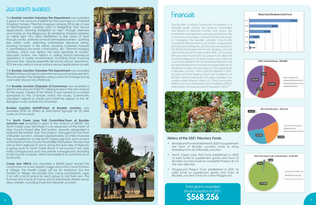## 2021 GRANTS AWARDED:

The **Boulder Junction Volunteer Fire Department** was awarded a grant in the amount of \$4500 for the purchase of a Thermal Imaging Camera. Thermal imaging cameras (TICs) are a type of thermographic camera used in firefighting and rescue applications, allowing firefighters to "see" through darkness and smoke on the fireground. By rendering infrared radiation as visible light, TICs allow firefighters to see areas of heat through smoke, darkness or heat-permeable barriers – spotting fires within walls, detecting overheated electrical wiring, locating hot-spots in fire debris, locating materials involved in spontaneous low-level combustions, etc. Thermal imaging cameras, which can detect the heat signature of visuallyobscured victims, are helpful in aiding search-and-rescue operations in hostile environments, including those involving structure fires, helping expedite life-saving rescue operations. TICs are also useful in some outdoor rescue applications as well.

The **Boulder Junction Volunteer Fire Department** was awarded \$3488 for the purchase of cold water rescue suits and equipment. The suits protect the firefighters using current technology during cold water rescue circumstances.

The **Boulder Junction Chamber of Commerce** was awarded a grant in the amount of \$3775, helping to reel in the new mascot for the Musky Capital of the World. It was named in a contest sponsored by the Chamber, Marty the Musky. Community volunteers helped to create and install the display of the 18' fiberglass musky outside the Chamber.

**Boulder Junction UpShift/Town of Boulder Junction**, was awarded \$750 for Safety & Directional Signage for (3) bike routes on town roads.

The **North Creek Loop Trail Committee/Town of Boulder Junction was** awarded a grant in the amount of \$5000. The North Creek Loop Trail Project is an expansion of the Heart of Vilas County Paved Bike Trail System, recently designated a National Recreation Trail. The project, managed by the Town of Boulder Junction, will add approximately 3.3-miles of paved trail, complete the 14-mile North Creek Loop Trail, and connect to the Heart of Vilas County Paved Bike Trail System. The new trail will run from Highway H and K along the east side of Highway H going south to North Creek Road. It will connect two state forest campgrounds and one private campground, providing a safe way for campers, visitors and residents to come into town by bicycle.

**Camp Jorn YMCA** was awarded a \$4000 grant toward the construction of a new Health Lodge and a Day Camp Pavilion & Village. The Health Lodge will be for everyone, but the Pavilion & Village will provide Day Camp participants, ages 5-14, with a bit of space for each group to call their own. The Summer Day Camp at Camp Jorn in Manitowish Waters serves area children, including those from Boulder Junction.







# **Financials**













The Boulder Junction Community Foundation is a 501(c)(3) public charity. The Finance Committee and Board of Directors monitor and review the investment management services provided by the Community Foundation of North Central Wisconsin in managing the Boulder Junction Community Foundation Endowment Fund. In 2021, as approved by the Board of Directors, \$72,095 was contributed to the Restricted Endowment Fund, bringing our Fund total at the end of the year to \$611,880,. Community Enhancement Funds (Arts & Culture Fund, Bike Trail Fund, Broadband Fund, North Creek Loop Trail Fund, Community Relief Fund\*\* and Greatest Needs Fund) as well as the Reserve Fund are managed directly by the Board of Directors and held at Associated Bank in Boulder Junction. With a \$4,000 deposit in 2021, at years end the Reserve fund had a balance of \$17,000. Grants totaling \$21,513 were awarded. Our auditors were Peterson Metz, Ltd. \*(The Community Relief Fund was a temporary fund created in 2020 in anticipation of increased grant requests in 2021.)\*\*



Total grants awarded since inception in 2021: **\$568,256**

#### **History of the 2021 Fiduciary Funds**

- Broadband Fund established in 2020 to supplement the Town of Boulder Junction funds to bring Boradband to all of Boulder Junction
- North Creek Loop Trail Fund established in 2020 to raise funds to supplement grants and Town of Boulder Junction funds to complete Phases I & II of the new bike trail
- Playground Project Fund established in 2021 to raise funds to supplement grants and Town of Boulder Junction funds for a new Playground